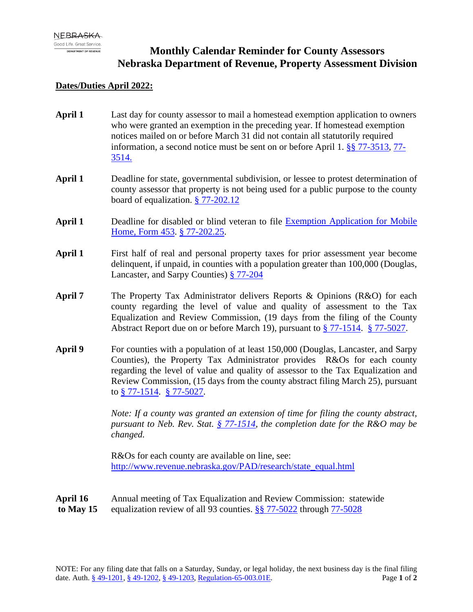## **Monthly Calendar Reminder for County Assessors Nebraska Department of Revenue, Property Assessment Division**

## **Dates/Duties April 2022:**

- **April 1** Last day for county assessor to mail a homestead exemption application to owners who were granted an exemption in the preceding year. If homestead exemption notices mailed on or before March 31 did not contain all statutorily required information, a second notice must be sent on or before April 1. [§§ 77-3513,](https://nebraskalegislature.gov/laws/statutes.php?statute=77-3513) [77-](https://nebraskalegislature.gov/laws/statutes.php?statute=77-3514) [3514.](https://nebraskalegislature.gov/laws/statutes.php?statute=77-3514)
- **April 1** Deadline for state, governmental subdivision, or lessee to protest determination of county assessor that property is not being used for a public purpose to the county board of equalization. [§ 77-202.12](https://nebraskalegislature.gov/laws/statutes.php?statute=77-202.12)
- **April 1** Deadline for disabled or blind veteran to file [Exemption Application for Mobile](https://revenue.nebraska.gov/sites/revenue.nebraska.gov/files/doc/pad/forms/453_Exempt_App_for_Hon_Discharged_Disabled_Vets.pdf)  [Home, Form 453.](https://revenue.nebraska.gov/sites/revenue.nebraska.gov/files/doc/pad/forms/453_Exempt_App_for_Hon_Discharged_Disabled_Vets.pdf) [§ 77-202.25.](https://nebraskalegislature.gov/laws/statutes.php?statute=77-202.25)
- April 1 First half of real and personal property taxes for prior assessment year become delinquent, if unpaid, in counties with a population greater than 100,000 (Douglas, Lancaster, and Sarpy Counties) [§ 77-204](https://nebraskalegislature.gov/laws/statutes.php?statute=77-204)
- **April 7** The Property Tax Administrator delivers Reports & Opinions (R&O) for each county regarding the level of value and quality of assessment to the Tax Equalization and Review Commission, (19 days from the filing of the County Abstract Report due on or before March 19), pursuant to [§ 77-1514.](https://nebraskalegislature.gov/laws/statutes.php?statute=77-1514) [§ 77-5027.](https://nebraskalegislature.gov/laws/statutes.php?statute=77-5027)
- **April 9** For counties with a population of at least 150,000 (Douglas, Lancaster, and Sarpy Counties), the Property Tax Administrator provides R&Os for each county regarding the level of value and quality of assessor to the Tax Equalization and Review Commission, (15 days from the county abstract filing March 25), pursuant to [§ 77-1514.](https://nebraskalegislature.gov/laws/statutes.php?statute=77-1514) [§ 77-5027.](https://nebraskalegislature.gov/laws/statutes.php?statute=77-5027)

*Note: If a county was granted an extension of time for filing the county abstract, pursuant to Neb. Rev. Stat. [§ 77-1514,](https://nebraskalegislature.gov/laws/statutes.php?statute=77-1514) the completion date for the R&O may be changed.*

R&Os for each county are available on line, see: [http://www.revenue.nebraska.gov/PAD/research/state\\_equal.html](http://www.revenue.nebraska.gov/PAD/research/state_equal.html)

**April 16** Annual meeting of Tax Equalization and Review Commission: statewide **to May 15** equalization review of all 93 counties. [§§ 77-5022](https://nebraskalegislature.gov/laws/statutes.php?statute=77-5022) through [77-5028](https://nebraskalegislature.gov/laws/statutes.php?statute=77-5028)